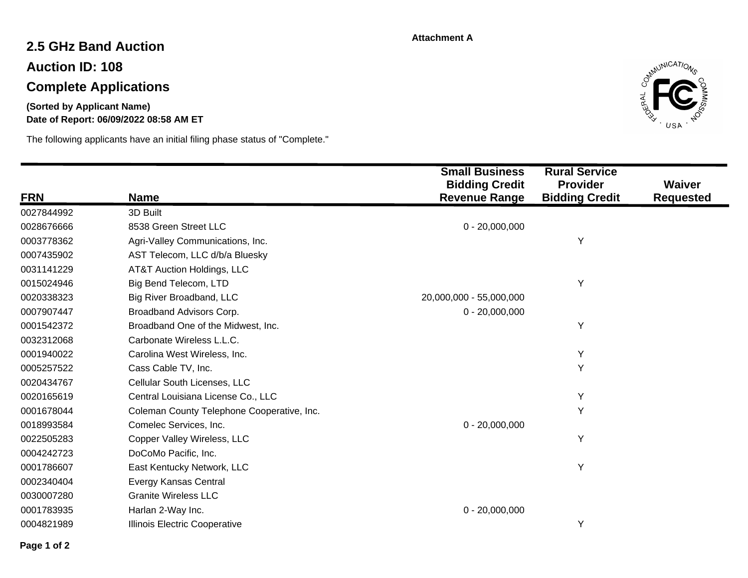#### **Attachment A**

# **2.5 GHz Band Auction**

**Auction ID: 108**

# **Complete Applications**

### **Date of Report: 06/09/2022 08:58 AM ET (Sorted by Applicant Name)**

The following applicants have an initial filing phase status of "Complete."



|            |                                            | <b>Small Business</b><br><b>Bidding Credit</b> | <b>Rural Service</b><br><b>Provider</b> | Waiver           |
|------------|--------------------------------------------|------------------------------------------------|-----------------------------------------|------------------|
| <b>FRN</b> | <b>Name</b>                                | <b>Revenue Range</b>                           | <b>Bidding Credit</b>                   | <b>Requested</b> |
| 0027844992 | 3D Built                                   |                                                |                                         |                  |
| 0028676666 | 8538 Green Street LLC                      | $0 - 20,000,000$                               |                                         |                  |
| 0003778362 | Agri-Valley Communications, Inc.           |                                                | Υ                                       |                  |
| 0007435902 | AST Telecom, LLC d/b/a Bluesky             |                                                |                                         |                  |
| 0031141229 | AT&T Auction Holdings, LLC                 |                                                |                                         |                  |
| 0015024946 | Big Bend Telecom, LTD                      |                                                | Y                                       |                  |
| 0020338323 | Big River Broadband, LLC                   | 20,000,000 - 55,000,000                        |                                         |                  |
| 0007907447 | Broadband Advisors Corp.                   | $0 - 20,000,000$                               |                                         |                  |
| 0001542372 | Broadband One of the Midwest, Inc.         |                                                | Y                                       |                  |
| 0032312068 | Carbonate Wireless L.L.C.                  |                                                |                                         |                  |
| 0001940022 | Carolina West Wireless, Inc.               |                                                | Y                                       |                  |
| 0005257522 | Cass Cable TV, Inc.                        |                                                | Υ                                       |                  |
| 0020434767 | Cellular South Licenses, LLC               |                                                |                                         |                  |
| 0020165619 | Central Louisiana License Co., LLC         |                                                | Y                                       |                  |
| 0001678044 | Coleman County Telephone Cooperative, Inc. |                                                | Y                                       |                  |
| 0018993584 | Comelec Services, Inc.                     | $0 - 20,000,000$                               |                                         |                  |
| 0022505283 | Copper Valley Wireless, LLC                |                                                | Y                                       |                  |
| 0004242723 | DoCoMo Pacific, Inc.                       |                                                |                                         |                  |
| 0001786607 | East Kentucky Network, LLC                 |                                                | Y                                       |                  |
| 0002340404 | Evergy Kansas Central                      |                                                |                                         |                  |
| 0030007280 | <b>Granite Wireless LLC</b>                |                                                |                                         |                  |
| 0001783935 | Harlan 2-Way Inc.                          | $0 - 20,000,000$                               |                                         |                  |
| 0004821989 | <b>Illinois Electric Cooperative</b>       |                                                | Y                                       |                  |